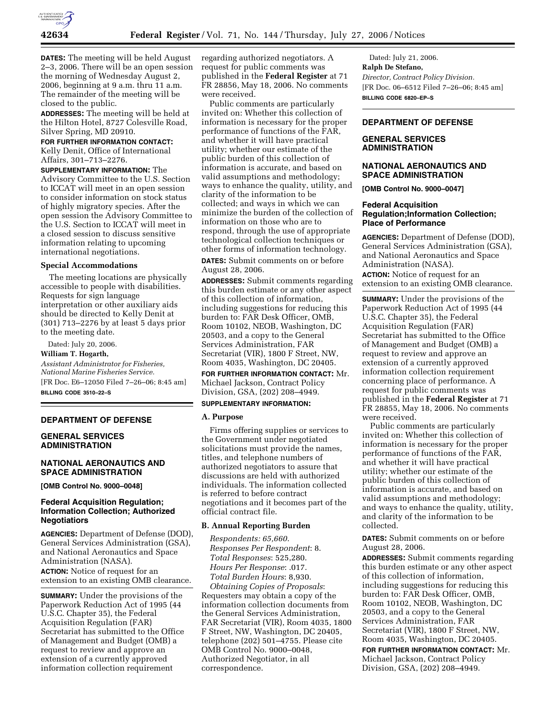

**DATES:** The meeting will be held August 2–3, 2006. There will be an open session the morning of Wednesday August 2, 2006, beginning at 9 a.m. thru 11 a.m. The remainder of the meeting will be closed to the public.

**ADDRESSES:** The meeting will be held at the Hilton Hotel, 8727 Colesville Road, Silver Spring, MD 20910.

**FOR FURTHER INFORMATION CONTACT:** 

Kelly Denit, Office of International Affairs, 301–713–2276.

**SUPPLEMENTARY INFORMATION:** The Advisory Committee to the U.S. Section to ICCAT will meet in an open session to consider information on stock status of highly migratory species. After the open session the Advisory Committee to the U.S. Section to ICCAT will meet in a closed session to discuss sensitive information relating to upcoming international negotiations.

#### **Special Accommodations**

The meeting locations are physically accessible to people with disabilities. Requests for sign language interpretation or other auxiliary aids should be directed to Kelly Denit at (301) 713–2276 by at least 5 days prior to the meeting date.

Dated: July 20, 2006.

**William T. Hogarth,**  *Assistant Administrator for Fisheries, National Marine Fisheries Service.*  [FR Doc. E6–12050 Filed 7–26–06; 8:45 am] **BILLING CODE 3510–22–S** 

### **DEPARTMENT OF DEFENSE**

## **GENERAL SERVICES ADMINISTRATION**

## **NATIONAL AERONAUTICS AND SPACE ADMINISTRATION**

**[OMB Control No. 9000–0048]** 

## **Federal Acquisition Regulation; Information Collection; Authorized Negotiatiors**

**AGENCIES:** Department of Defense (DOD), General Services Administration (GSA), and National Aeronautics and Space Administration (NASA). **ACTION:** Notice of request for an extension to an existing OMB clearance.

**SUMMARY:** Under the provisions of the Paperwork Reduction Act of 1995 (44 U.S.C. Chapter 35), the Federal Acquisition Regulation (FAR) Secretariat has submitted to the Office of Management and Budget (OMB) a request to review and approve an extension of a currently approved information collection requirement

regarding authorized negotiators. A request for public comments was published in the **Federal Register** at 71 FR 28856, May 18, 2006. No comments were received.

Public comments are particularly invited on: Whether this collection of information is necessary for the proper performance of functions of the FAR, and whether it will have practical utility; whether our estimate of the public burden of this collection of information is accurate, and based on valid assumptions and methodology; ways to enhance the quality, utility, and clarity of the information to be collected; and ways in which we can minimize the burden of the collection of information on those who are to respond, through the use of appropriate technological collection techniques or other forms of information technology.

**DATES:** Submit comments on or before August 28, 2006.

**ADDRESSES:** Submit comments regarding this burden estimate or any other aspect of this collection of information, including suggestions for reducing this burden to: FAR Desk Officer, OMB, Room 10102, NEOB, Washington, DC 20503, and a copy to the General Services Administration, FAR Secretariat (VIR), 1800 F Street, NW, Room 4035, Washington, DC 20405.

**FOR FURTHER INFORMATION CONTACT:** Mr. Michael Jackson, Contract Policy Division, GSA, (202) 208–4949.

## **SUPPLEMENTARY INFORMATION:**

### **A. Purpose**

Firms offering supplies or services to the Government under negotiated solicitations must provide the names, titles, and telephone numbers of authorized negotiators to assure that discussions are held with authorized individuals. The information collected is referred to before contract negotiations and it becomes part of the official contract file.

#### **B. Annual Reporting Burden**

*Respondents: 65,660*. *Responses Per Respondent*: 8. *Total Responses*: 525,280. *Hours Per Response*: .017. *Total Burden Hours*: 8,930.

*Obtaining Copies of Proposals*: Requesters may obtain a copy of the information collection documents from the General Services Administration, FAR Secretariat (VIR), Room 4035, 1800 F Street, NW, Washington, DC 20405, telephone (202) 501–4755. Please cite OMB Control No. 9000–0048, Authorized Negotiator, in all correspondence.

Dated: July 21, 2006. **Ralph De Stefano,**  *Director, Contract Policy Division.*  [FR Doc. 06–6512 Filed 7–26–06; 8:45 am] **BILLING CODE 6820–EP–S** 

# **DEPARTMENT OF DEFENSE**

# **GENERAL SERVICES ADMINISTRATION**

## **NATIONAL AERONAUTICS AND SPACE ADMINISTRATION**

**[OMB Control No. 9000–0047]** 

## **Federal Acquisition Regulation;Information Collection; Place of Performance**

**AGENCIES:** Department of Defense (DOD), General Services Administration (GSA), and National Aeronautics and Space Administration (NASA).

**ACTION:** Notice of request for an extension to an existing OMB clearance.

**SUMMARY:** Under the provisions of the Paperwork Reduction Act of 1995 (44 U.S.C. Chapter 35), the Federal Acquisition Regulation (FAR) Secretariat has submitted to the Office of Management and Budget (OMB) a request to review and approve an extension of a currently approved information collection requirement concerning place of performance. A request for public comments was published in the **Federal Register** at 71 FR 28855, May 18, 2006. No comments were received.

Public comments are particularly invited on: Whether this collection of information is necessary for the proper performance of functions of the FAR, and whether it will have practical utility; whether our estimate of the public burden of this collection of information is accurate, and based on valid assumptions and methodology; and ways to enhance the quality, utility, and clarity of the information to be collected.

**DATES:** Submit comments on or before August 28, 2006.

**ADDRESSES:** Submit comments regarding this burden estimate or any other aspect of this collection of information, including suggestions for reducing this burden to: FAR Desk Officer, OMB, Room 10102, NEOB, Washington, DC 20503, and a copy to the General Services Administration, FAR Secretariat (VIR), 1800 F Street, NW, Room 4035, Washington, DC 20405.

**FOR FURTHER INFORMATION CONTACT:** Mr. Michael Jackson, Contract Policy Division, GSA, (202) 208–4949.